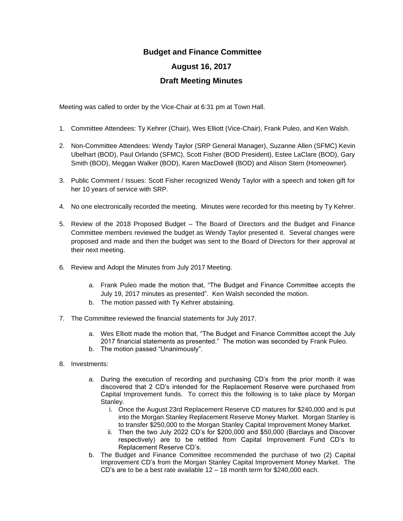## **Budget and Finance Committee**

## **August 16, 2017**

## **Draft Meeting Minutes**

Meeting was called to order by the Vice-Chair at 6:31 pm at Town Hall.

- 1. Committee Attendees: Ty Kehrer (Chair), Wes Elliott (Vice-Chair), Frank Puleo, and Ken Walsh.
- 2. Non-Committee Attendees: Wendy Taylor (SRP General Manager), Suzanne Allen (SFMC) Kevin Ubelhart (BOD), Paul Orlando (SFMC), Scott Fisher (BOD President), Estee LaClare (BOD), Gary Smith (BOD), Meggan Walker (BOD), Karen MacDowell (BOD) and Alison Stern (Homeowner).
- 3. Public Comment / Issues: Scott Fisher recognized Wendy Taylor with a speech and token gift for her 10 years of service with SRP.
- 4. No one electronically recorded the meeting. Minutes were recorded for this meeting by Ty Kehrer.
- 5. Review of the 2018 Proposed Budget The Board of Directors and the Budget and Finance Committee members reviewed the budget as Wendy Taylor presented it. Several changes were proposed and made and then the budget was sent to the Board of Directors for their approval at their next meeting.
- 6. Review and Adopt the Minutes from July 2017 Meeting.
	- a. Frank Puleo made the motion that, "The Budget and Finance Committee accepts the July 19, 2017 minutes as presented". Ken Walsh seconded the motion.
	- b. The motion passed with Ty Kehrer abstaining.
- 7. The Committee reviewed the financial statements for July 2017.
	- a. Wes Elliott made the motion that, "The Budget and Finance Committee accept the July 2017 financial statements as presented." The motion was seconded by Frank Puleo.
	- b. The motion passed "Unanimously".
- 8. Investments:
	- a. During the execution of recording and purchasing CD's from the prior month it was discovered that 2 CD's intended for the Replacement Reserve were purchased from Capital Improvement funds. To correct this the following is to take place by Morgan Stanley.
		- i. Once the August 23rd Replacement Reserve CD matures for \$240,000 and is put into the Morgan Stanley Replacement Reserve Money Market. Morgan Stanley is to transfer \$250,000 to the Morgan Stanley Capital Improvement Money Market.
		- ii. Then the two July 2022 CD's for \$200,000 and \$50,000 (Barclays and Discover respectively) are to be retitled from Capital Improvement Fund CD's to Replacement Reserve CD's.
	- b. The Budget and Finance Committee recommended the purchase of two (2) Capital Improvement CD's from the Morgan Stanley Capital Improvement Money Market. The CD's are to be a best rate available 12 – 18 month term for \$240,000 each.